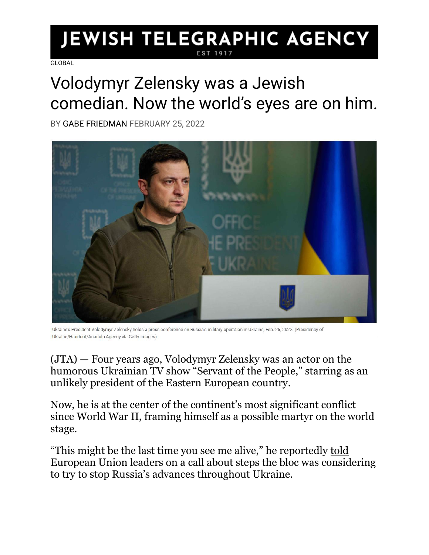## **JEWISH TELEGRAPHIC AGENCY**

**[GLOBAL](https://www.jta.org/category/global)** 

## Volodymyr Zelensky was a Jewish comedian. Now the world's eyes are on him.

BY [GABE FRIEDMAN](https://www.jta.org/author/gabe-friedman) FEBRUARY 25, 2022



Ukraine's President Volodymyr Zelensky holds a press conference on Russia's military operation in Ukraine, Feb. 25, 2022. (Presidency of Ukraine/Handout/Anadolu Agency via Getty Images)

[\(JTA\)](http://jta.org/) — Four years ago, Volodymyr Zelensky was an actor on the humorous Ukrainian TV show "Servant of the People," starring as an unlikely president of the Eastern European country.

Now, he is at the center of the continent's most significant conflict since World War II, framing himself as a possible martyr on the world stage.

"This might be the last time you see me alive," he reportedly [told](https://www.axios.com/zelensky-eu-leaders-last-time-you-see-me-alive-3447dbc0-620d-4ccc-afad-082e81d7a29f.html)  [European Union leaders on a call about steps the bloc was considering](https://www.axios.com/zelensky-eu-leaders-last-time-you-see-me-alive-3447dbc0-620d-4ccc-afad-082e81d7a29f.html)  [to try to stop Russia's advance](https://www.axios.com/zelensky-eu-leaders-last-time-you-see-me-alive-3447dbc0-620d-4ccc-afad-082e81d7a29f.html)s throughout Ukraine.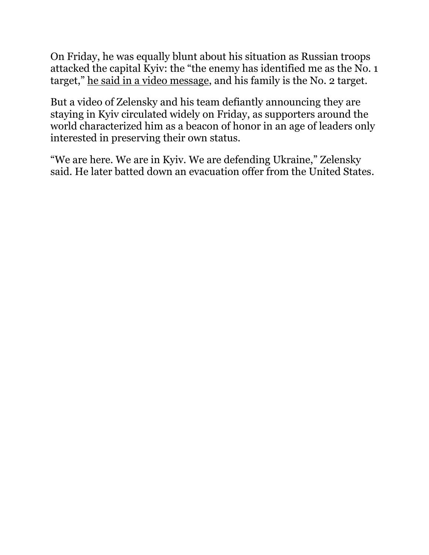On Friday, he was equally blunt about his situation as Russian troops attacked the capital Kyiv: the "the enemy has identified me as the No. 1 target," [he said in a video message,](https://www.washingtonpost.com/world/2022/02/25/russia-ukraine-president-zelensky-family-target/) and his family is the No. 2 target.

But a video of Zelensky and his team defiantly announcing they are staying in Kyiv circulated widely on Friday, as supporters around the world characterized him as a beacon of honor in an age of leaders only interested in preserving their own status.

"We are here. We are in Kyiv. We are defending Ukraine," Zelensky said. He later batted down an evacuation offer from the United States.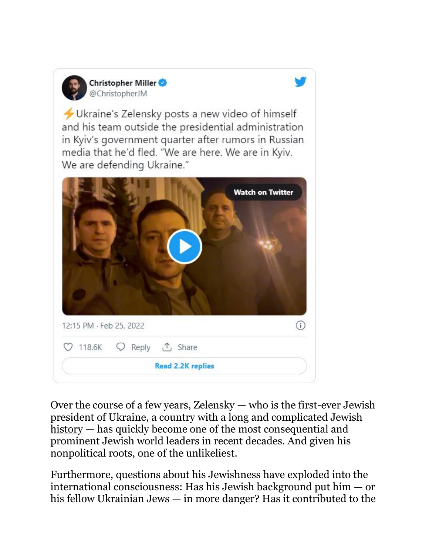

Christopher Miller @ChristopherJM

Ukraine's Zelensky posts a new video of himself and his team outside the presidential administration in Kyiv's government quarter after rumors in Russian media that he'd fled. "We are here. We are in Kyiv. We are defending Ukraine."

|                          | <b>Watch on Twitter</b> |
|--------------------------|-------------------------|
|                          |                         |
|                          |                         |
| 12:15 PM · Feb 25, 2022  | T                       |
|                          |                         |
| <b>Read 2.2K replies</b> |                         |

Over the course of a few years, Zelensky — who is the first-ever Jewish president of [Ukraine, a country with a long and complicated Jewish](https://www.jta.org/2022/02/24/global/who-are-ukraines-jews-and-how-is-russians-invasion-affecting-them)  [history](https://www.jta.org/2022/02/24/global/who-are-ukraines-jews-and-how-is-russians-invasion-affecting-them) — has quickly become one of the most consequential and prominent Jewish world leaders in recent decades. And given his nonpolitical roots, one of the unlikeliest.

Furthermore, questions about his Jewishness have exploded into the international consciousness: Has his Jewish background put him — or his fellow Ukrainian Jews — in more danger? Has it contributed to the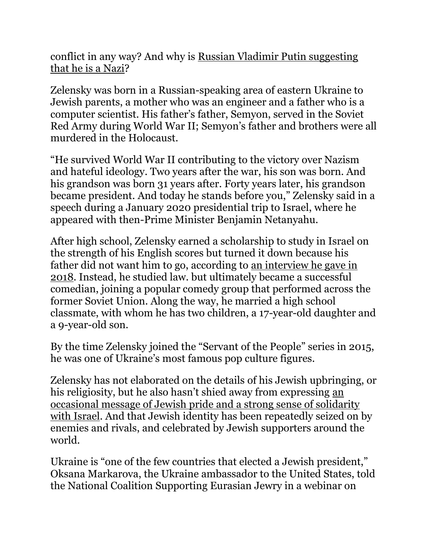conflict in any way? And why is [Russian Vladimir Putin suggesting](https://www.jta.org/2022/02/24/global/declaring-war-on-ukraine-russias-putin-cites-goal-of-denazification-of-country-with-jewish-president)  [that he is a Nazi?](https://www.jta.org/2022/02/24/global/declaring-war-on-ukraine-russias-putin-cites-goal-of-denazification-of-country-with-jewish-president)

Zelensky was born in a Russian-speaking area of eastern Ukraine to Jewish parents, a mother who was an engineer and a father who is a computer scientist. His father's father, Semyon, served in the Soviet Red Army during World War II; Semyon's father and brothers were all murdered in the Holocaust.

"He survived World War II contributing to the victory over Nazism and hateful ideology. Two years after the war, his son was born. And his grandson was born 31 years after. Forty years later, his grandson became president. And today he stands before you," Zelensky said in a speech during a January 2020 presidential trip to Israel, where he appeared with then-Prime Minister Benjamin Netanyahu.

After high school, Zelensky earned a scholarship to study in Israel on the strength of his English scores but turned it down because his father did not want him to go, according to [an interview he gave in](https://gordonua.com/ukr/publications/zelenskyi-yakshcho-mene-oberut-prezydentom-spochatku-budut-polyvaty-brudom-potim-povazhaty-a-potim-plakaty-koly-pidu-609294.html)  [2018.](https://gordonua.com/ukr/publications/zelenskyi-yakshcho-mene-oberut-prezydentom-spochatku-budut-polyvaty-brudom-potim-povazhaty-a-potim-plakaty-koly-pidu-609294.html) Instead, he studied law. but ultimately became a successful comedian, joining a popular comedy group that performed across the former Soviet Union. Along the way, he married a high school classmate, with whom he has two children, a 17-year-old daughter and a 9-year-old son.

By the time Zelensky joined the "Servant of the People" series in 2015, he was one of Ukraine's most famous pop culture figures.

Zelensky has not elaborated on the details of his Jewish upbringing, or his religiosity, but he also hasn't shied away from expressing [an](https://www.president.gov.ua/en/news/volodimir-zelenskij-rozpoviv-istoriyu-svoyeyi-rodini-pid-cha-59437)  [occasional message of Jewish pride and a](https://www.president.gov.ua/en/news/volodimir-zelenskij-rozpoviv-istoriyu-svoyeyi-rodini-pid-cha-59437) strong sense of solidarity [with Israel.](https://www.president.gov.ua/en/news/volodimir-zelenskij-rozpoviv-istoriyu-svoyeyi-rodini-pid-cha-59437) And that Jewish identity has been repeatedly seized on by enemies and rivals, and celebrated by Jewish supporters around the world.

Ukraine is "one of the few countries that elected a Jewish president," Oksana Markarova, the Ukraine ambassador to the United States, told the National Coalition Supporting Eurasian Jewry in a webinar on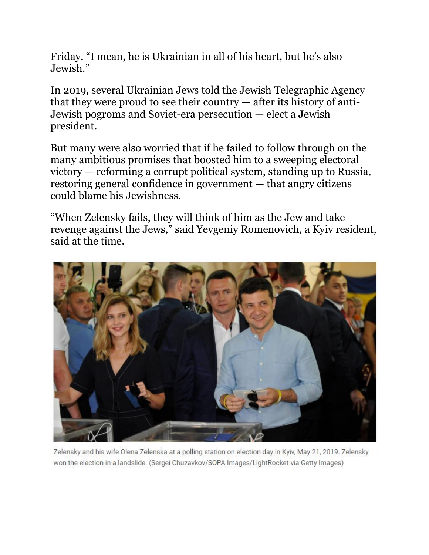Friday. "I mean, he is Ukrainian in all of his heart, but he's also Jewish."

In 2019, several Ukrainian Jews told the Jewish Telegraphic Agency that [they were proud to see their country](https://www.jta.org/2019/11/06/global/for-ukrainian-jews-having-a-jewish-president-is-a-source-of-pride-and-fear) — after its history of anti-[Jewish pogroms and Soviet-era persecution](https://www.jta.org/2019/11/06/global/for-ukrainian-jews-having-a-jewish-president-is-a-source-of-pride-and-fear) — elect a Jewish [president.](https://www.jta.org/2019/11/06/global/for-ukrainian-jews-having-a-jewish-president-is-a-source-of-pride-and-fear)

But many were also worried that if he failed to follow through on the many ambitious promises that boosted him to a sweeping electoral victory — reforming a corrupt political system, standing up to Russia, restoring general confidence in government — that angry citizens could blame his Jewishness.

"When Zelensky fails, they will think of him as the Jew and take revenge against the Jews," said Yevgeniy Romenovich, a Kyiv resident, said at the time.



Zelensky and his wife Olena Zelenska at a polling station on election day in Kyiv, May 21, 2019. Zelensky won the election in a landslide. (Sergei Chuzavkov/SOPA Images/LightRocket via Getty Images)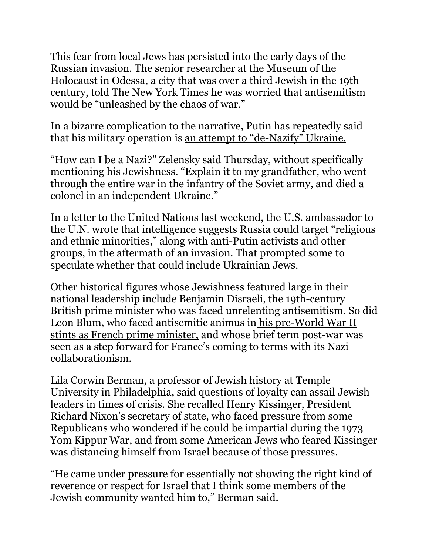This fear from local Jews has persisted into the early days of the Russian invasion. The senior researcher at the Museum of the Holocaust in Odessa, a city that was over a third Jewish in the 19th century, [told The New York Times he was worried that antisemitism](https://www.nytimes.com/2022/02/21/world/europe/ukraine-jews-russia-evacuations.html)  [would be "unleashed by the chaos of war."](https://www.nytimes.com/2022/02/21/world/europe/ukraine-jews-russia-evacuations.html)

In a bizarre complication to the narrative, Putin has repeatedly said that his military operation is [an attempt to "de](https://www.jta.org/2022/02/24/global/declaring-war-on-ukraine-russias-putin-cites-goal-of-denazification-of-country-with-jewish-president)-Nazify" Ukraine.

"How can I be a Nazi?" Zelensky said Thursday, without specifically mentioning his Jewishness. "Explain it to my grandfather, who went through the entire war in the infantry of the Soviet army, and died a colonel in an independent Ukraine."

In a letter to the United Nations last weekend, the U.S. ambassador to the U.N. wrote that intelligence suggests Russia could target "religious and ethnic minorities," along with anti-Putin activists and other groups, in the aftermath of an invasion. That prompted some to speculate whether that could include Ukrainian Jews.

Other historical figures whose Jewishness featured large in their national leadership include Benjamin Disraeli, the 19th-century British prime minister who was faced unrelenting antisemitism. So did Leon Blum, who faced antisemitic animus in [his pre-World War II](https://www.jta.org/archive/leon-blum-forms-french-cabinet)  [stints as French prime minister,](https://www.jta.org/archive/leon-blum-forms-french-cabinet) and whose brief term post-war was seen as a step forward for France's coming to terms with its Nazi collaborationism.

Lila Corwin Berman, a professor of Jewish history at Temple University in Philadelphia, said questions of loyalty can assail Jewish leaders in times of crisis. She recalled Henry Kissinger, President Richard Nixon's secretary of state, who faced pressure from some Republicans who wondered if he could be impartial during the 1973 Yom Kippur War, and from some American Jews who feared Kissinger was distancing himself from Israel because of those pressures.

"He came under pressure for essentially not showing the right kind of reverence or respect for Israel that I think some members of the Jewish community wanted him to," Berman said.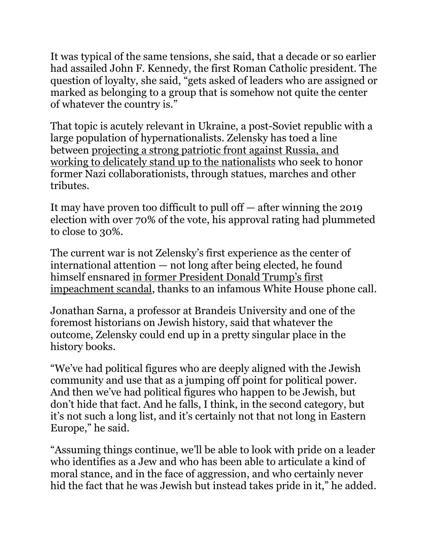It was typical of the same tensions, she said, that a decade or so earlier had assailed John F. Kennedy, the first Roman Catholic president. The question of loyalty, she said, "gets asked of leaders who are assigned or marked as belonging to a group that is somehow not quite the center of whatever the country is."

That topic is acutely relevant in Ukraine, a post-Soviet republic with a large population of hypernationalists. Zelensky has toed a line between [projecting a strong patriotic front against Russia, and](https://www.jta.org/2019/11/06/global/for-ukrainian-jews-having-a-jewish-president-is-a-source-of-pride-and-fear)  [working to delicately stand up to the nationalists](https://www.jta.org/2019/11/06/global/for-ukrainian-jews-having-a-jewish-president-is-a-source-of-pride-and-fear) who seek to honor former Nazi collaborationists, through statues, marches and other tributes.

It may have proven too difficult to pull off — after winning the 2019 election with over 70% of the vote, his approval rating had plummeted to close to 30%.

The current war is not Zelensky's first experience as the center of international attention — not long after being elected, he found himself ensnared in former [President Donald Trump's first](https://www.jta.org/2019/09/24/politics/the-trump-ukraine-controversy-and-the-jews-involved-explained)  [impeachment scandal,](https://www.jta.org/2019/09/24/politics/the-trump-ukraine-controversy-and-the-jews-involved-explained) thanks to an infamous White House phone call.

Jonathan Sarna, a professor at Brandeis University and one of the foremost historians on Jewish history, said that whatever the outcome, Zelensky could end up in a pretty singular place in the history books.

"We've had political figures who are deeply aligned with the Jewish community and use that as a jumping off point for political power. And then we've had political figures who happen to be Jewish, but don't hide that fact. And he falls, I think, in the second category, but it's not such a long list, and it's certainly not that not long in Eastern Europe," he said.

"Assuming things continue, we'll be able to look with pride on a leader who identifies as a Jew and who has been able to articulate a kind of moral stance, and in the face of aggression, and who certainly never hid the fact that he was Jewish but instead takes pride in it," he added.